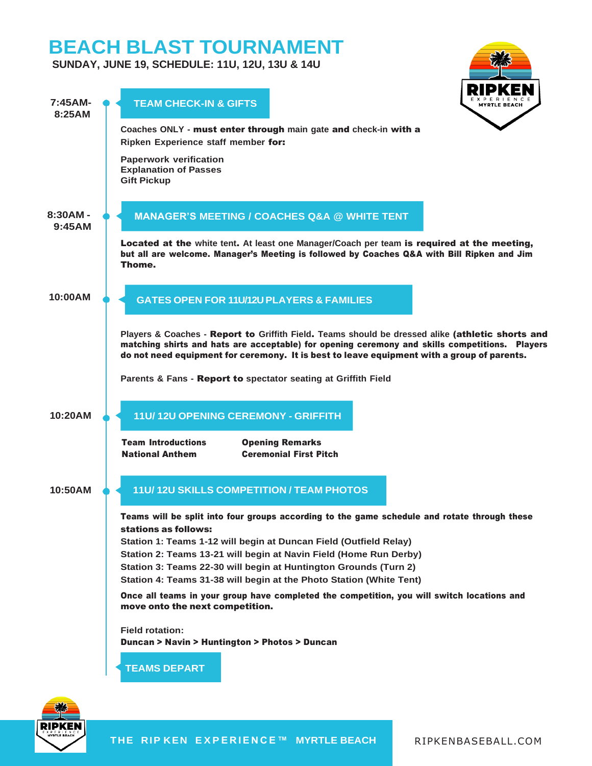# **BEACH BLAST TOURNAMENT**

**SUNDAY, JUNE 19, SCHEDULE: 11U, 12U, 13U & 14U**

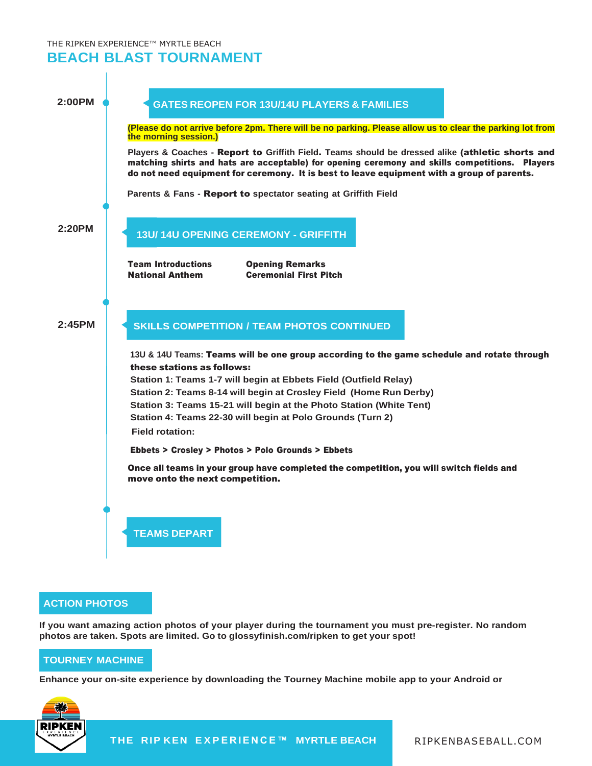THE RIPKEN EXPERIENCE™ MYRTLE BEACH

**BEACH BLAST TOURNAMENT**

## **TEAMS DEPART 2:00PM (Please do not arrive before 2pm. There will be no parking. Please allow us to clear the parking lot from the morning session.) Players & Coaches -** Report to **Griffith Field**. **Teams should be dressed alike** (athletic shorts and matching shirts and hats are acceptable) for opening ceremony and skills competitions. Players do not need equipment for ceremony. It is best to leave equipment with a group of parents. **Parents & Fans -** Report to **spectator seating at Griffith Field 2:20PM** Team Introductions Opening Remarks National Anthem Ceremonial First Pitch **2:45PM 13U & 14U Teams:** Teams will be one group according to the game schedule and rotate through these stations as follows: **Station 1: Teams 1-7 will begin at Ebbets Field (Outfield Relay) Station 2: Teams 8-14 will begin at Crosley Field (Home Run Derby) Station 3: Teams 15-21 will begin at the Photo Station (White Tent) Station 4: Teams 22-30 will begin at Polo Grounds (Turn 2) Field rotation:** Ebbets > Crosley > Photos > Polo Grounds > Ebbets Once all teams in your group have completed the competition, you will switch fields and move onto the next competition. **SKILLS COMPETITION / TEAM PHOTOS CONTINUED GATES REOPEN FOR 13U/14U PLAYERS & FAMILIES 13U/ 14U OPENING CEREMONY - GRIFFITH**

### **ACTION PHOTOS**

**If you want amazing action photos of your player during the tournament you must pre-register. No random photos are taken. Spots are limited. Go to glossyfinish.com/ripken to get your spot!**

### **TOURNEY MACHINE**

**Enhance your on-site experience by downloading the Tourney Machine mobile app to your Android or**



**THE RIP KEN E X P E R I E N C E™ MYRTLE BEACH** RIPKENBASEBALL .COM